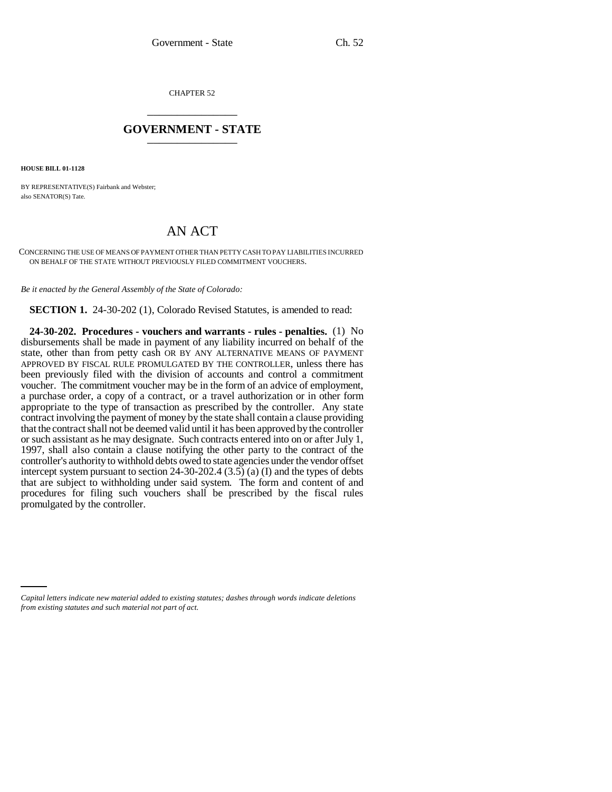CHAPTER 52 \_\_\_\_\_\_\_\_\_\_\_\_\_\_\_

## **GOVERNMENT - STATE** \_\_\_\_\_\_\_\_\_\_\_\_\_\_\_

**HOUSE BILL 01-1128**

BY REPRESENTATIVE(S) Fairbank and Webster; also SENATOR(S) Tate.

## AN ACT

CONCERNING THE USE OF MEANS OF PAYMENT OTHER THAN PETTY CASH TO PAY LIABILITIES INCURRED ON BEHALF OF THE STATE WITHOUT PREVIOUSLY FILED COMMITMENT VOUCHERS.

*Be it enacted by the General Assembly of the State of Colorado:*

**SECTION 1.** 24-30-202 (1), Colorado Revised Statutes, is amended to read:

**24-30-202. Procedures - vouchers and warrants - rules - penalties.** (1) No disbursements shall be made in payment of any liability incurred on behalf of the state, other than from petty cash OR BY ANY ALTERNATIVE MEANS OF PAYMENT APPROVED BY FISCAL RULE PROMULGATED BY THE CONTROLLER, unless there has been previously filed with the division of accounts and control a commitment voucher. The commitment voucher may be in the form of an advice of employment, a purchase order, a copy of a contract, or a travel authorization or in other form appropriate to the type of transaction as prescribed by the controller. Any state contract involving the payment of money by the state shall contain a clause providing that the contract shall not be deemed valid until it has been approved by the controller or such assistant as he may designate. Such contracts entered into on or after July 1, 1997, shall also contain a clause notifying the other party to the contract of the controller's authority to withhold debts owed to state agencies under the vendor offset intercept system pursuant to section 24-30-202.4 (3.5) (a) (I) and the types of debts that are subject to withholding under said system. The form and content of and procedures for filing such vouchers shall be prescribed by the fiscal rules promulgated by the controller.

*Capital letters indicate new material added to existing statutes; dashes through words indicate deletions from existing statutes and such material not part of act.*